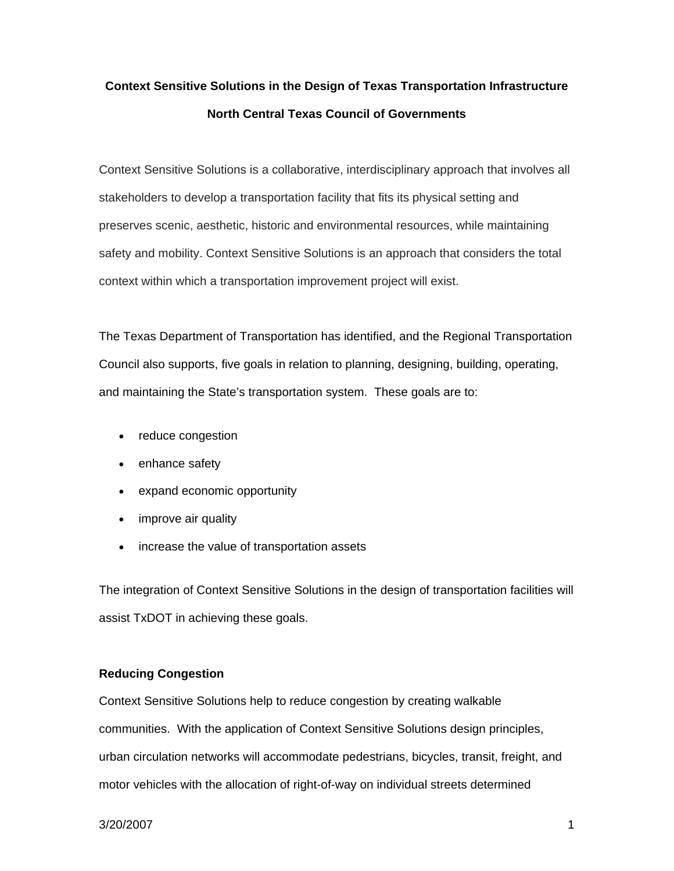# **Context Sensitive Solutions in the Design of Texas Transportation Infrastructure North Central Texas Council of Governments**

Context Sensitive Solutions is a collaborative, interdisciplinary approach that involves all stakeholders to develop a transportation facility that fits its physical setting and preserves scenic, aesthetic, historic and environmental resources, while maintaining safety and mobility. Context Sensitive Solutions is an approach that considers the total context within which a transportation improvement project will exist.

The Texas Department of Transportation has identified, and the Regional Transportation Council also supports, five goals in relation to planning, designing, building, operating, and maintaining the State's transportation system. These goals are to:

- reduce congestion
- enhance safety
- expand economic opportunity
- improve air quality
- increase the value of transportation assets

The integration of Context Sensitive Solutions in the design of transportation facilities will assist TxDOT in achieving these goals.

## **Reducing Congestion**

Context Sensitive Solutions help to reduce congestion by creating walkable communities. With the application of Context Sensitive Solutions design principles, urban circulation networks will accommodate pedestrians, bicycles, transit, freight, and motor vehicles with the allocation of right-of-way on individual streets determined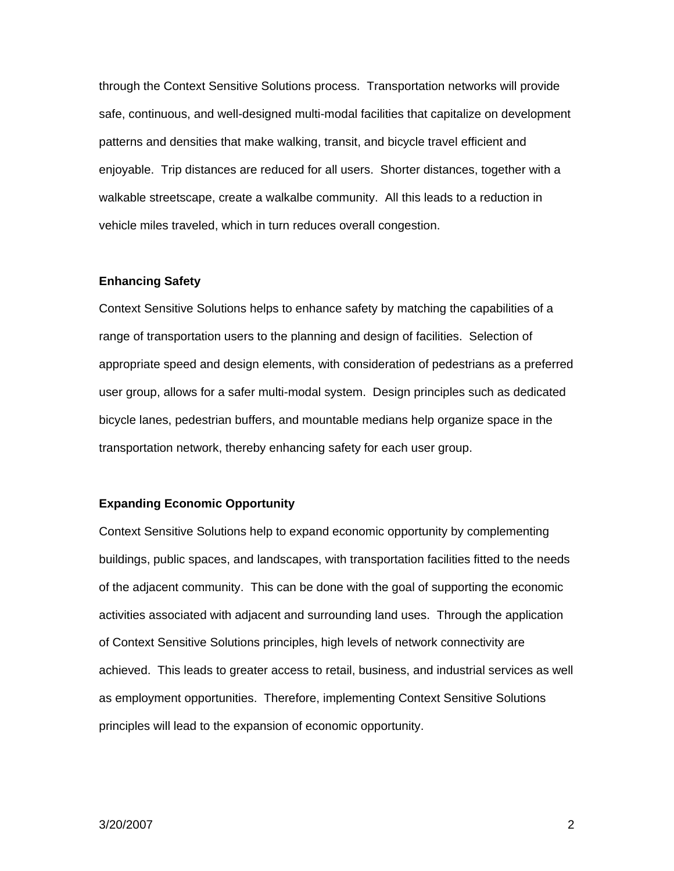through the Context Sensitive Solutions process. Transportation networks will provide safe, continuous, and well-designed multi-modal facilities that capitalize on development patterns and densities that make walking, transit, and bicycle travel efficient and enjoyable. Trip distances are reduced for all users. Shorter distances, together with a walkable streetscape, create a walkalbe community. All this leads to a reduction in vehicle miles traveled, which in turn reduces overall congestion.

#### **Enhancing Safety**

Context Sensitive Solutions helps to enhance safety by matching the capabilities of a range of transportation users to the planning and design of facilities. Selection of appropriate speed and design elements, with consideration of pedestrians as a preferred user group, allows for a safer multi-modal system. Design principles such as dedicated bicycle lanes, pedestrian buffers, and mountable medians help organize space in the transportation network, thereby enhancing safety for each user group.

#### **Expanding Economic Opportunity**

Context Sensitive Solutions help to expand economic opportunity by complementing buildings, public spaces, and landscapes, with transportation facilities fitted to the needs of the adjacent community. This can be done with the goal of supporting the economic activities associated with adjacent and surrounding land uses. Through the application of Context Sensitive Solutions principles, high levels of network connectivity are achieved. This leads to greater access to retail, business, and industrial services as well as employment opportunities. Therefore, implementing Context Sensitive Solutions principles will lead to the expansion of economic opportunity.